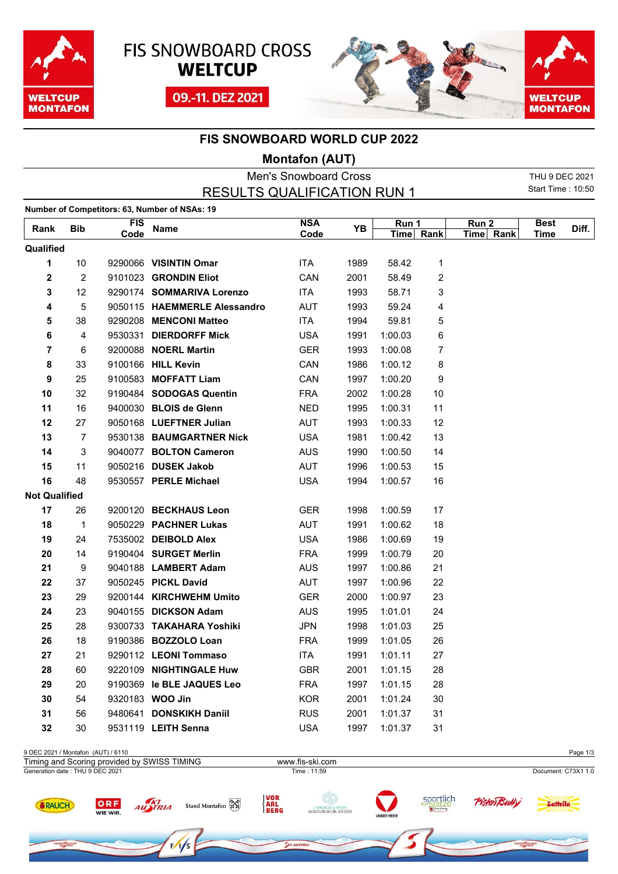





## **FIS SNOWBOARD WORLD CUP 2022**

## **Montafon (AUT)**

|                      |                 |            |                                               | <b>Men's Snowboard Cross</b> |      |           |                |           | THU 9 DEC 2021           |       |
|----------------------|-----------------|------------|-----------------------------------------------|------------------------------|------|-----------|----------------|-----------|--------------------------|-------|
|                      |                 |            | <b>RESULTS QUALIFICATION RUN 1</b>            |                              |      |           |                |           | <b>Start Time: 10:50</b> |       |
|                      |                 |            | Number of Competitors: 63, Number of NSAs: 19 |                              |      |           |                |           |                          |       |
| Rank                 | <b>Bib</b>      | <b>FIS</b> | <b>Name</b>                                   | <b>NSA</b>                   | YB   | Run 1     |                | Run 2     | <b>Best</b>              | Diff. |
|                      |                 | Code       |                                               | Code                         |      | Time Rank |                | Time Rank | Time                     |       |
| Qualified            |                 |            |                                               |                              |      |           |                |           |                          |       |
| 1                    | 10 <sup>1</sup> |            | 9290066 VISINTIN Omar                         | <b>ITA</b>                   | 1989 | 58.42     | 1              |           |                          |       |
| 2                    | $\overline{2}$  |            | 9101023 GRONDIN Eliot                         | CAN                          | 2001 | 58.49     | $\overline{c}$ |           |                          |       |
| 3                    | 12 <sup>2</sup> |            | 9290174 SOMMARIVA Lorenzo                     | <b>ITA</b>                   | 1993 | 58.71     | 3              |           |                          |       |
| 4                    | 5               |            | 9050115 HAEMMERLE Alessandro                  | <b>AUT</b>                   | 1993 | 59.24     | 4              |           |                          |       |
| 5                    | 38              |            | 9290208 MENCONI Matteo                        | ITA.                         | 1994 | 59.81     | 5              |           |                          |       |
| 6                    | 4               |            | 9530331 DIERDORFF Mick                        | <b>USA</b>                   | 1991 | 1:00.03   | 6              |           |                          |       |
| 7                    | 6               |            | 9200088 NOERL Martin                          | <b>GER</b>                   | 1993 | 1:00.08   | 7              |           |                          |       |
| 8                    | 33              |            | 9100166 HILL Kevin                            | CAN                          | 1986 | 1:00.12   | 8              |           |                          |       |
| 9                    | 25              |            | 9100583 MOFFATT Liam                          | CAN                          | 1997 | 1:00.20   | 9              |           |                          |       |
| 10                   | 32              |            | 9190484 SODOGAS Quentin                       | <b>FRA</b>                   | 2002 | 1:00.28   | 10             |           |                          |       |
| 11                   | 16              |            | 9400030 BLOIS de Glenn                        | NED                          | 1995 | 1:00.31   | 11             |           |                          |       |
| 12                   | 27              |            | 9050168 LUEFTNER Julian                       | <b>AUT</b>                   | 1993 | 1:00.33   | 12             |           |                          |       |
| 13                   | $\overline{7}$  |            | 9530138 BAUMGARTNER Nick                      | <b>USA</b>                   | 1981 | 1:00.42   | 13             |           |                          |       |
| 14                   | 3               |            | 9040077 BOLTON Cameron                        | <b>AUS</b>                   | 1990 | 1:00.50   | 14             |           |                          |       |
| 15                   | 11              |            | 9050216 DUSEK Jakob                           | <b>AUT</b>                   | 1996 | 1:00.53   | 15             |           |                          |       |
| 16                   | 48              |            | 9530557 PERLE Michael                         | <b>USA</b>                   | 1994 | 1:00.57   | 16             |           |                          |       |
| <b>Not Qualified</b> |                 |            |                                               |                              |      |           |                |           |                          |       |
| 17                   | 26              |            | 9200120 BECKHAUS Leon                         | <b>GER</b>                   | 1998 | 1:00.59   | 17             |           |                          |       |
| 18                   | $\mathbf{1}$    |            | 9050229 PACHNER Lukas                         | AUT                          | 1991 | 1:00.62   | 18             |           |                          |       |
| 19                   | 24              |            | 7535002 DEIBOLD Alex                          | <b>USA</b>                   | 1986 | 1:00.69   | 19             |           |                          |       |
| 20                   | 14              |            | 9190404 SURGET Merlin                         | <b>FRA</b>                   | 1999 | 1:00.79   | 20             |           |                          |       |
| 21                   | 9               |            | 9040188 LAMBERT Adam                          | <b>AUS</b>                   | 1997 | 1:00.86   | 21             |           |                          |       |
| 22                   | 37              |            | 9050245 PICKL David                           | <b>AUT</b>                   | 1997 | 1:00.96   | 22             |           |                          |       |
| 23                   | 29              |            | 9200144 KIRCHWEHM Umito                       | <b>GER</b>                   | 2000 | 1:00.97   | 23             |           |                          |       |
| 24                   | 23              |            | 9040155 DICKSON Adam                          | <b>AUS</b>                   | 1995 | 1:01.01   | 24             |           |                          |       |
| 25                   | 28              |            | 9300733 TAKAHARA Yoshiki                      | <b>JPN</b>                   | 1998 | 1:01.03   | 25             |           |                          |       |
| 26                   | 18              |            | 9190386 BOZZOLO Loan                          | <b>FRA</b>                   | 1999 | 1:01.05   | 26             |           |                          |       |
| 27                   | 21              |            | 9290112 LEONI Tommaso                         | <b>ITA</b>                   | 1991 | 1:01.11   | 27             |           |                          |       |
| 28                   | 60              |            | 9220109 NIGHTINGALE Huw                       | <b>GBR</b>                   | 2001 | 1:01.15   | 28             |           |                          |       |
| 29                   | 20              |            | 9190369 le BLE JAQUES Leo                     | <b>FRA</b>                   | 1997 | 1:01.15   | 28             |           |                          |       |
| 30                   | 54              |            | 9320183 WOO Jin                               | <b>KOR</b>                   | 2001 | 1:01.24   | 30             |           |                          |       |
| 31                   | 56              |            | 9480641 DONSKIKH Daniil                       | <b>RUS</b>                   | 2001 | 1:01.37   | 31             |           |                          |       |
| 32                   | 30              |            | 9531119 LEITH Senna                           | <b>USA</b>                   | 1997 | 1:01.37   | 31             |           |                          |       |
|                      |                 |            |                                               |                              |      |           |                |           |                          |       |

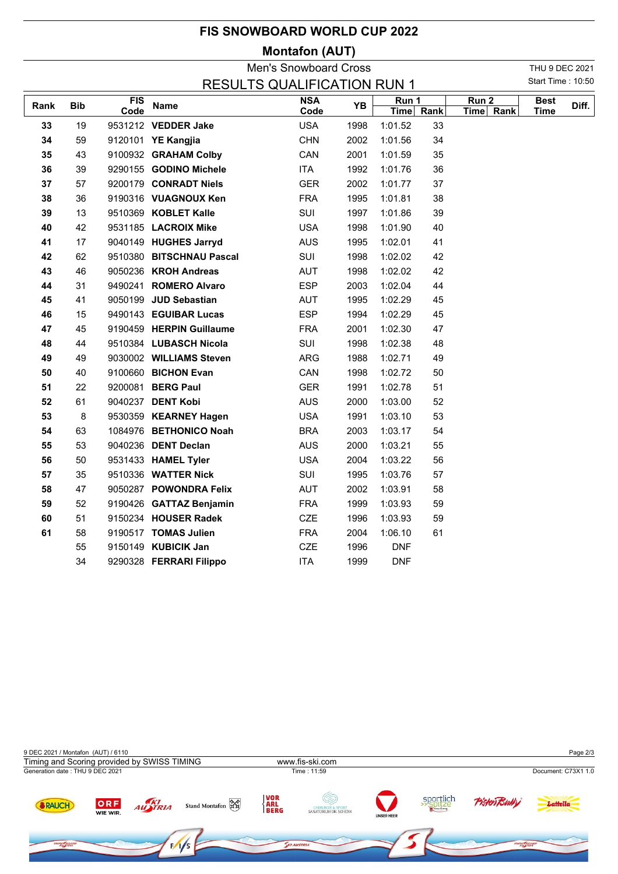| <b>FIS SNOWBOARD WORLD CUP 2022</b> |  |
|-------------------------------------|--|
|-------------------------------------|--|

## **Montafon (AUT)**

| <b>Men's Snowboard Cross</b>       |            |                  |                          |            |      |            |           | THU 9 DEC 2021   |           |             |                   |
|------------------------------------|------------|------------------|--------------------------|------------|------|------------|-----------|------------------|-----------|-------------|-------------------|
| <b>RESULTS QUALIFICATION RUN 1</b> |            |                  |                          |            |      |            |           |                  |           |             | Start Time: 10:50 |
| Rank                               | <b>Bib</b> | $\overline{FIS}$ | <b>Name</b>              | <b>NSA</b> | YB   | Run 1      |           | Run <sub>2</sub> |           | <b>Best</b> | Diff.             |
|                                    |            | Code             |                          | Code       |      |            | Time Rank |                  | Time Rank | Time        |                   |
| 33                                 | 19         |                  | 9531212 VEDDER Jake      | <b>USA</b> | 1998 | 1:01.52    | 33        |                  |           |             |                   |
| 34                                 | 59         |                  | 9120101 YE Kangjia       | <b>CHN</b> | 2002 | 1:01.56    | 34        |                  |           |             |                   |
| 35                                 | 43         |                  | 9100932 GRAHAM Colby     | CAN        | 2001 | 1:01.59    | 35        |                  |           |             |                   |
| 36                                 | 39         |                  | 9290155 GODINO Michele   | <b>ITA</b> | 1992 | 1:01.76    | 36        |                  |           |             |                   |
| 37                                 | 57         |                  | 9200179 CONRADT Niels    | <b>GER</b> | 2002 | 1:01.77    | 37        |                  |           |             |                   |
| 38                                 | 36         |                  | 9190316 VUAGNOUX Ken     | <b>FRA</b> | 1995 | 1:01.81    | 38        |                  |           |             |                   |
| 39                                 | 13         |                  | 9510369 KOBLET Kalle     | SUI        | 1997 | 1:01.86    | 39        |                  |           |             |                   |
| 40                                 | 42         |                  | 9531185 LACROIX Mike     | <b>USA</b> | 1998 | 1:01.90    | 40        |                  |           |             |                   |
| 41                                 | 17         |                  | 9040149 HUGHES Jarryd    | <b>AUS</b> | 1995 | 1:02.01    | 41        |                  |           |             |                   |
| 42                                 | 62         |                  | 9510380 BITSCHNAU Pascal | SUI        | 1998 | 1:02.02    | 42        |                  |           |             |                   |
| 43                                 | 46         |                  | 9050236 KROH Andreas     | <b>AUT</b> | 1998 | 1:02.02    | 42        |                  |           |             |                   |
| 44                                 | 31         |                  | 9490241 ROMERO Alvaro    | <b>ESP</b> | 2003 | 1:02.04    | 44        |                  |           |             |                   |
| 45                                 | 41         |                  | 9050199 JUD Sebastian    | <b>AUT</b> | 1995 | 1:02.29    | 45        |                  |           |             |                   |
| 46                                 | 15         |                  | 9490143 EGUIBAR Lucas    | <b>ESP</b> | 1994 | 1:02.29    | 45        |                  |           |             |                   |
| 47                                 | 45         |                  | 9190459 HERPIN Guillaume | <b>FRA</b> | 2001 | 1:02.30    | 47        |                  |           |             |                   |
| 48                                 | 44         |                  | 9510384 LUBASCH Nicola   | SUI        | 1998 | 1:02.38    | 48        |                  |           |             |                   |
| 49                                 | 49         |                  | 9030002 WILLIAMS Steven  | ARG        | 1988 | 1:02.71    | 49        |                  |           |             |                   |
| 50                                 | 40         |                  | 9100660 BICHON Evan      | CAN        | 1998 | 1:02.72    | 50        |                  |           |             |                   |
| 51                                 | 22         |                  | 9200081 BERG Paul        | <b>GER</b> | 1991 | 1:02.78    | 51        |                  |           |             |                   |
| 52                                 | 61         |                  | 9040237 DENT Kobi        | <b>AUS</b> | 2000 | 1:03.00    | 52        |                  |           |             |                   |
| 53                                 | 8          |                  | 9530359 KEARNEY Hagen    | <b>USA</b> | 1991 | 1:03.10    | 53        |                  |           |             |                   |
| 54                                 | 63         |                  | 1084976 BETHONICO Noah   | <b>BRA</b> | 2003 | 1:03.17    | 54        |                  |           |             |                   |
| 55                                 | 53         |                  | 9040236 DENT Declan      | <b>AUS</b> | 2000 | 1:03.21    | 55        |                  |           |             |                   |
| 56                                 | 50         |                  | 9531433 HAMEL Tyler      | <b>USA</b> | 2004 | 1:03.22    | 56        |                  |           |             |                   |
| 57                                 | 35         |                  | 9510336 WATTER Nick      | SUI        | 1995 | 1:03.76    | 57        |                  |           |             |                   |
| 58                                 | 47         |                  | 9050287 POWONDRA Felix   | <b>AUT</b> | 2002 | 1:03.91    | 58        |                  |           |             |                   |
| 59                                 | 52         |                  | 9190426 GATTAZ Benjamin  | <b>FRA</b> | 1999 | 1:03.93    | 59        |                  |           |             |                   |
| 60                                 | 51         |                  | 9150234 HOUSER Radek     | CZE        | 1996 | 1:03.93    | 59        |                  |           |             |                   |
| 61                                 | 58         |                  | 9190517 TOMAS Julien     | <b>FRA</b> | 2004 | 1:06.10    | 61        |                  |           |             |                   |
|                                    | 55         |                  | 9150149 KUBICIK Jan      | <b>CZE</b> | 1996 | <b>DNF</b> |           |                  |           |             |                   |
|                                    | 34         |                  | 9290328 FERRARI Filippo  | <b>ITA</b> | 1999 | <b>DNF</b> |           |                  |           |             |                   |
|                                    |            |                  |                          |            |      |            |           |                  |           |             |                   |